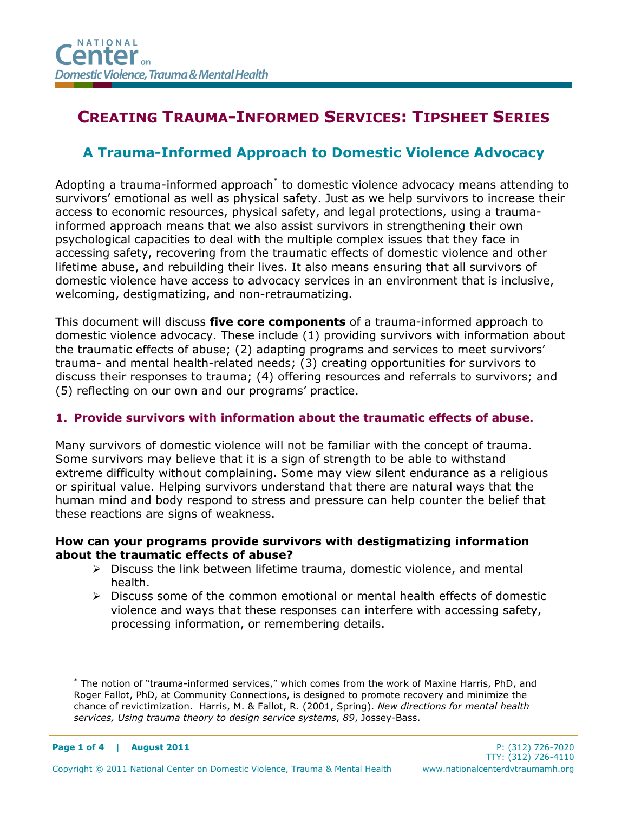# CREATING TRAUMA-INFORMED SERVICES: TIPSHEET SERIES

# A Trauma-Informed Approach to Domestic Violence Advocacy

Adopting a trauma-informed approach<sup>\*</sup> to domestic violence advocacy means attending to survivors' emotional as well as physical safety. Just as we help survivors to increase their access to economic resources, physical safety, and legal protections, using a traumainformed approach means that we also assist survivors in strengthening their own psychological capacities to deal with the multiple complex issues that they face in accessing safety, recovering from the traumatic effects of domestic violence and other lifetime abuse, and rebuilding their lives. It also means ensuring that all survivors of domestic violence have access to advocacy services in an environment that is inclusive, welcoming, destigmatizing, and non-retraumatizing.

This document will discuss five core components of a trauma-informed approach to domestic violence advocacy. These include (1) providing survivors with information about the traumatic effects of abuse; (2) adapting programs and services to meet survivors' trauma- and mental health-related needs; (3) creating opportunities for survivors to discuss their responses to trauma; (4) offering resources and referrals to survivors; and (5) reflecting on our own and our programs' practice.

# 1. Provide survivors with information about the traumatic effects of abuse.

Many survivors of domestic violence will not be familiar with the concept of trauma. Some survivors may believe that it is a sign of strength to be able to withstand extreme difficulty without complaining. Some may view silent endurance as a religious or spiritual value. Helping survivors understand that there are natural ways that the human mind and body respond to stress and pressure can help counter the belief that these reactions are signs of weakness.

#### How can your programs provide survivors with destigmatizing information about the traumatic effects of abuse?

- $\triangleright$  Discuss the link between lifetime trauma, domestic violence, and mental health.
- $\triangleright$  Discuss some of the common emotional or mental health effects of domestic violence and ways that these responses can interfere with accessing safety, processing information, or remembering details.

<sup>-</sup>\* The notion of "trauma-informed services," which comes from the work of Maxine Harris, PhD, and Roger Fallot, PhD, at Community Connections, is designed to promote recovery and minimize the chance of revictimization. Harris, M. & Fallot, R. (2001, Spring). New directions for mental health services, Using trauma theory to design service systems, 89, Jossey-Bass.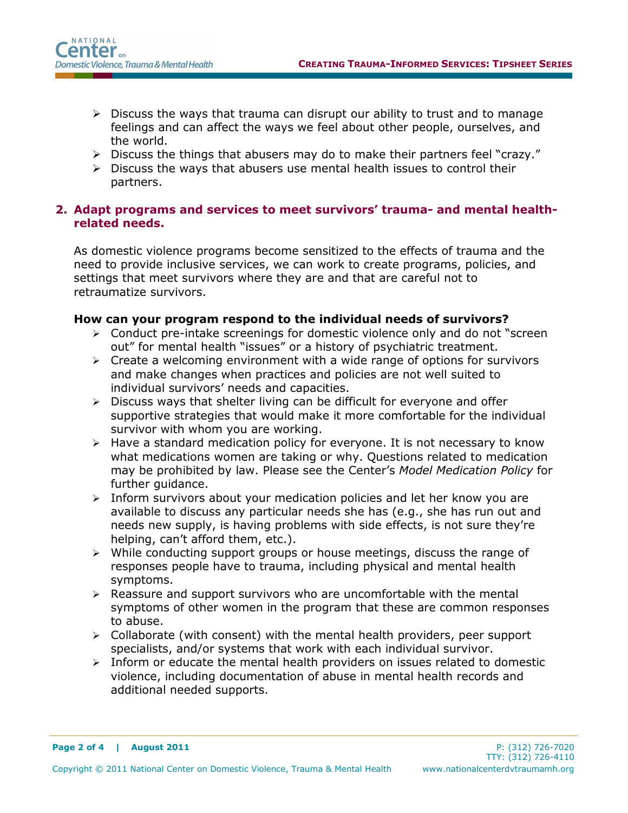- $\triangleright$  Discuss the ways that trauma can disrupt our ability to trust and to manage feelings and can affect the ways we feel about other people, ourselves, and the world.
- > Discuss the things that abusers may do to make their partners feel "crazy."
- $\triangleright$  Discuss the ways that abusers use mental health issues to control their partners.

## 2. Adapt programs and services to meet survivors' trauma- and mental healthrelated needs.

As domestic violence programs become sensitized to the effects of trauma and the need to provide inclusive services, we can work to create programs, policies, and settings that meet survivors where they are and that are careful not to retraumatize survivors.

#### How can your program respond to the individual needs of survivors?

- Conduct pre-intake screenings for domestic violence only and do not "screen out" for mental health "issues" or a history of psychiatric treatment.
- $\triangleright$  Create a welcoming environment with a wide range of options for survivors and make changes when practices and policies are not well suited to individual survivors' needs and capacities.
- $\triangleright$  Discuss ways that shelter living can be difficult for everyone and offer supportive strategies that would make it more comfortable for the individual survivor with whom you are working.
- $\triangleright$  Have a standard medication policy for everyone. It is not necessary to know what medications women are taking or why. Questions related to medication may be prohibited by law. Please see the Center's Model Medication Policy for further quidance.
- $\triangleright$  Inform survivors about your medication policies and let her know you are available to discuss any particular needs she has (e.g., she has run out and needs new supply, is having problems with side effects, is not sure they're helping, can't afford them, etc.).
- $\triangleright$  While conducting support groups or house meetings, discuss the range of responses people have to trauma, including physical and mental health symptoms.
- $\triangleright$  Reassure and support survivors who are uncomfortable with the mental symptoms of other women in the program that these are common responses to abuse.
- $\triangleright$  Collaborate (with consent) with the mental health providers, peer support specialists, and/or systems that work with each individual survivor.
- $\triangleright$  Inform or educate the mental health providers on issues related to domestic violence, including documentation of abuse in mental health records and additional needed supports.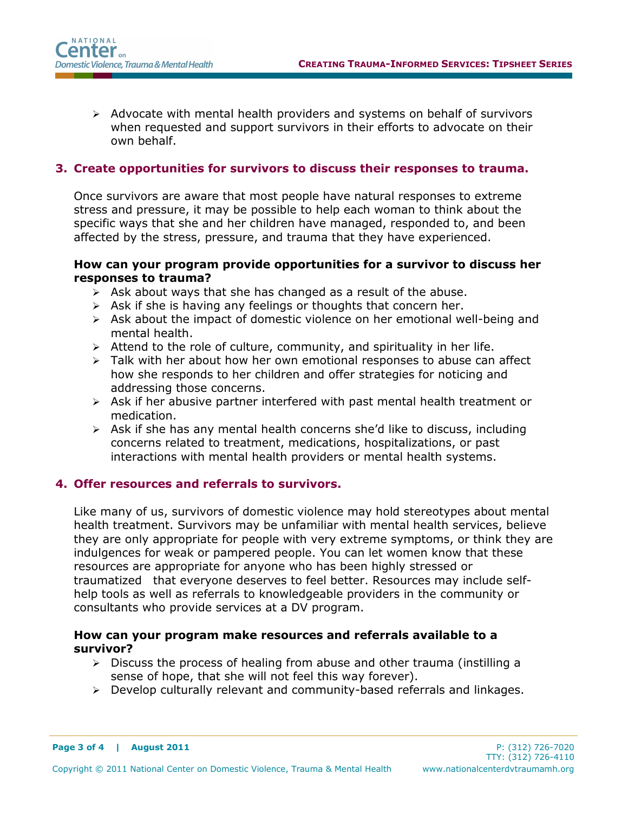$\triangleright$  Advocate with mental health providers and systems on behalf of survivors when requested and support survivors in their efforts to advocate on their own behalf.

#### 3. Create opportunities for survivors to discuss their responses to trauma.

Once survivors are aware that most people have natural responses to extreme stress and pressure, it may be possible to help each woman to think about the specific ways that she and her children have managed, responded to, and been affected by the stress, pressure, and trauma that they have experienced.

#### How can your program provide opportunities for a survivor to discuss her responses to trauma?

- $\triangleright$  Ask about ways that she has changed as a result of the abuse.
- $\triangleright$  Ask if she is having any feelings or thoughts that concern her.
- $\triangleright$  Ask about the impact of domestic violence on her emotional well-being and mental health.
- $\triangleright$  Attend to the role of culture, community, and spirituality in her life.
- $\triangleright$  Talk with her about how her own emotional responses to abuse can affect how she responds to her children and offer strategies for noticing and addressing those concerns.
- $\triangleright$  Ask if her abusive partner interfered with past mental health treatment or medication.
- $\triangleright$  Ask if she has any mental health concerns she'd like to discuss, including concerns related to treatment, medications, hospitalizations, or past interactions with mental health providers or mental health systems.

#### 4. Offer resources and referrals to survivors.

Like many of us, survivors of domestic violence may hold stereotypes about mental health treatment. Survivors may be unfamiliar with mental health services, believe they are only appropriate for people with very extreme symptoms, or think they are indulgences for weak or pampered people. You can let women know that these resources are appropriate for anyone who has been highly stressed or traumatized—that everyone deserves to feel better. Resources may include selfhelp tools as well as referrals to knowledgeable providers in the community or consultants who provide services at a DV program.

#### How can your program make resources and referrals available to a survivor?

- $\triangleright$  Discuss the process of healing from abuse and other trauma (instilling a sense of hope, that she will not feel this way forever).
- $\triangleright$  Develop culturally relevant and community-based referrals and linkages.